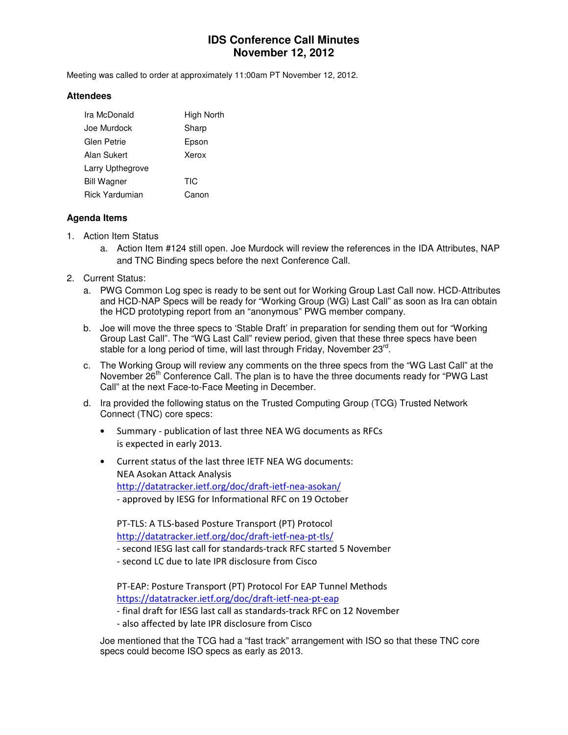# **IDS Conference Call Minutes November 12, 2012**

Meeting was called to order at approximately 11:00am PT November 12, 2012.

#### **Attendees**

| Ira McDonald          | High North |
|-----------------------|------------|
| Joe Murdock           | Sharp      |
| Glen Petrie           | Epson      |
| Alan Sukert           | Xerox      |
| Larry Upthegrove      |            |
| <b>Bill Wagner</b>    | TIC        |
| <b>Rick Yardumian</b> | Canon      |

### **Agenda Items**

- 1. Action Item Status
	- a. Action Item #124 still open. Joe Murdock will review the references in the IDA Attributes, NAP and TNC Binding specs before the next Conference Call.
- 2. Current Status:
	- a. PWG Common Log spec is ready to be sent out for Working Group Last Call now. HCD-Attributes and HCD-NAP Specs will be ready for "Working Group (WG) Last Call" as soon as Ira can obtain the HCD prototyping report from an "anonymous" PWG member company.
	- b. Joe will move the three specs to 'Stable Draft' in preparation for sending them out for "Working Group Last Call". The "WG Last Call" review period, given that these three specs have been stable for a long period of time, will last through Friday, November 23<sup>rd</sup>.
	- c. The Working Group will review any comments on the three specs from the "WG Last Call" at the November 26<sup>th</sup> Conference Call. The plan is to have the three documents ready for "PWG Last Call" at the next Face-to-Face Meeting in December.
	- d. Ira provided the following status on the Trusted Computing Group (TCG) Trusted Network Connect (TNC) core specs:
		- Summary publication of last three NEA WG documents as RFCs is expected in early 2013.
		- Current status of the last three IETF NEA WG documents: NEA Asokan Attack Analysis http://datatracker.ietf.org/doc/draft-ietf-nea-asokan/ - approved by IESG for Informational RFC on 19 October

PT-TLS: A TLS-based Posture Transport (PT) Protocol http://datatracker.ietf.org/doc/draft-ietf-nea-pt-tls/

- second IESG last call for standards-track RFC started 5 November
- second LC due to late IPR disclosure from Cisco

PT-EAP: Posture Transport (PT) Protocol For EAP Tunnel Methods https://datatracker.ietf.org/doc/draft-ietf-nea-pt-eap

- final draft for IESG last call as standards-track RFC on 12 November
- also affected by late IPR disclosure from Cisco

Joe mentioned that the TCG had a "fast track" arrangement with ISO so that these TNC core specs could become ISO specs as early as 2013.